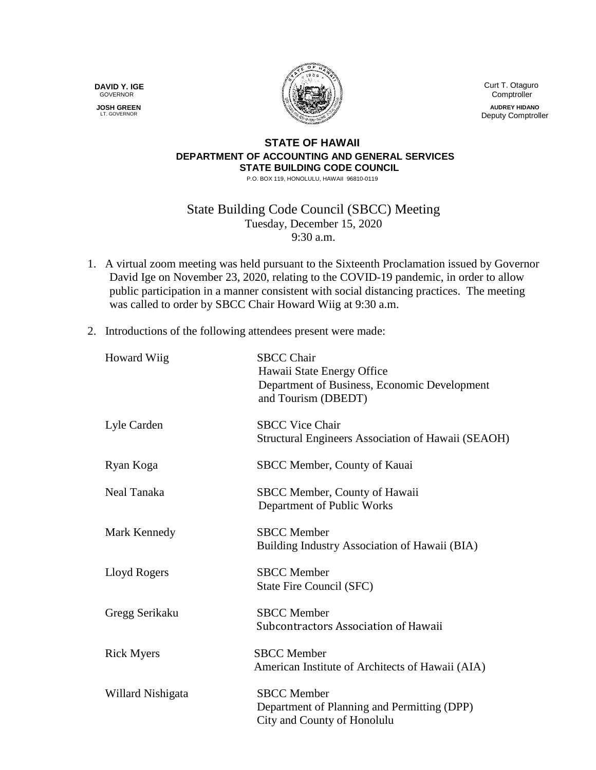**DAVID Y. IGE** GOVERNOR

 **JOSH GREEN** LT. GOVERNOR



 Curt T. Otaguro **Comptroller** 

**AUDREY HIDANO** Deputy Comptroller

## **STATE OF HAWAII DEPARTMENT OF ACCOUNTING AND GENERAL SERVICES STATE BUILDING CODE COUNCIL**

P.O. BOX 119, HONOLULU, HAWAII 96810-0119

State Building Code Council (SBCC) Meeting Tuesday, December 15, 2020 9:30 a.m.

- 1. A virtual zoom meeting was held pursuant to the Sixteenth Proclamation issued by Governor David Ige on November 23, 2020, relating to the COVID-19 pandemic, in order to allow public participation in a manner consistent with social distancing practices. The meeting was called to order by SBCC Chair Howard Wiig at 9:30 a.m.
- 2. Introductions of the following attendees present were made:

|                                         | Department of Business, Economic Development<br>and Tourism (DBEDT)        |
|-----------------------------------------|----------------------------------------------------------------------------|
| <b>SBCC Vice Chair</b><br>Lyle Carden   | Structural Engineers Association of Hawaii (SEAOH)                         |
| Ryan Koga                               | SBCC Member, County of Kauai                                               |
| Neal Tanaka                             | SBCC Member, County of Hawaii<br>Department of Public Works                |
| <b>SBCC</b> Member<br>Mark Kennedy      | Building Industry Association of Hawaii (BIA)                              |
| <b>SBCC</b> Member<br>Lloyd Rogers      | State Fire Council (SFC)                                                   |
| <b>SBCC</b> Member<br>Gregg Serikaku    | Subcontractors Association of Hawaii                                       |
| <b>SBCC</b> Member<br><b>Rick Myers</b> | American Institute of Architects of Hawaii (AIA)                           |
| <b>SBCC</b> Member<br>Willard Nishigata | Department of Planning and Permitting (DPP)<br>City and County of Honolulu |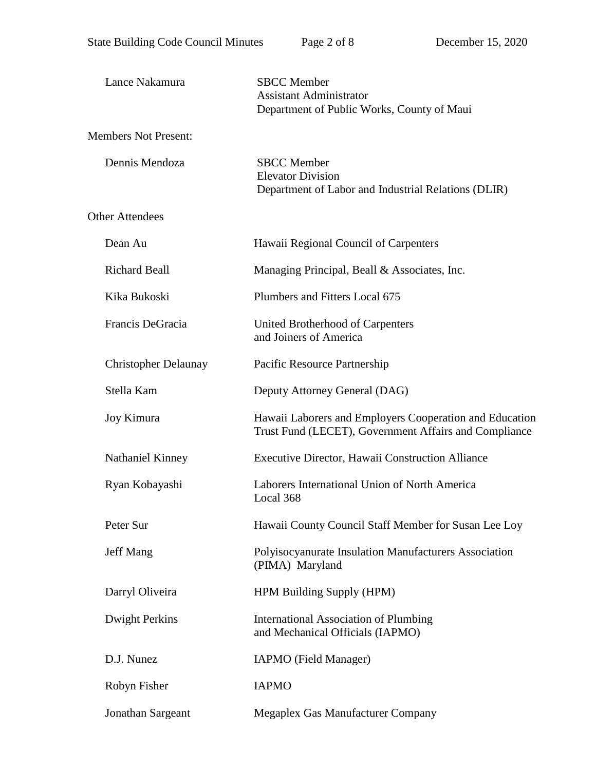| Lance Nakamura              | <b>SBCC</b> Member<br><b>Assistant Administrator</b><br>Department of Public Works, County of Maui               |
|-----------------------------|------------------------------------------------------------------------------------------------------------------|
| <b>Members Not Present:</b> |                                                                                                                  |
| Dennis Mendoza              | <b>SBCC</b> Member<br><b>Elevator Division</b><br>Department of Labor and Industrial Relations (DLIR)            |
| <b>Other Attendees</b>      |                                                                                                                  |
| Dean Au                     | Hawaii Regional Council of Carpenters                                                                            |
| <b>Richard Beall</b>        | Managing Principal, Beall & Associates, Inc.                                                                     |
| Kika Bukoski                | Plumbers and Fitters Local 675                                                                                   |
| Francis DeGracia            | United Brotherhood of Carpenters<br>and Joiners of America                                                       |
| <b>Christopher Delaunay</b> | Pacific Resource Partnership                                                                                     |
| Stella Kam                  | Deputy Attorney General (DAG)                                                                                    |
| Joy Kimura                  | Hawaii Laborers and Employers Cooperation and Education<br>Trust Fund (LECET), Government Affairs and Compliance |
| Nathaniel Kinney            | Executive Director, Hawaii Construction Alliance                                                                 |
| Ryan Kobayashi              | Laborers International Union of North America<br>Local 368                                                       |
| Peter Sur                   | Hawaii County Council Staff Member for Susan Lee Loy                                                             |
| Jeff Mang                   | Polyisocyanurate Insulation Manufacturers Association<br>(PIMA) Maryland                                         |
| Darryl Oliveira             | HPM Building Supply (HPM)                                                                                        |
| <b>Dwight Perkins</b>       | <b>International Association of Plumbing</b><br>and Mechanical Officials (IAPMO)                                 |
| D.J. Nunez                  | IAPMO (Field Manager)                                                                                            |
| Robyn Fisher                | <b>IAPMO</b>                                                                                                     |
| Jonathan Sargeant           | Megaplex Gas Manufacturer Company                                                                                |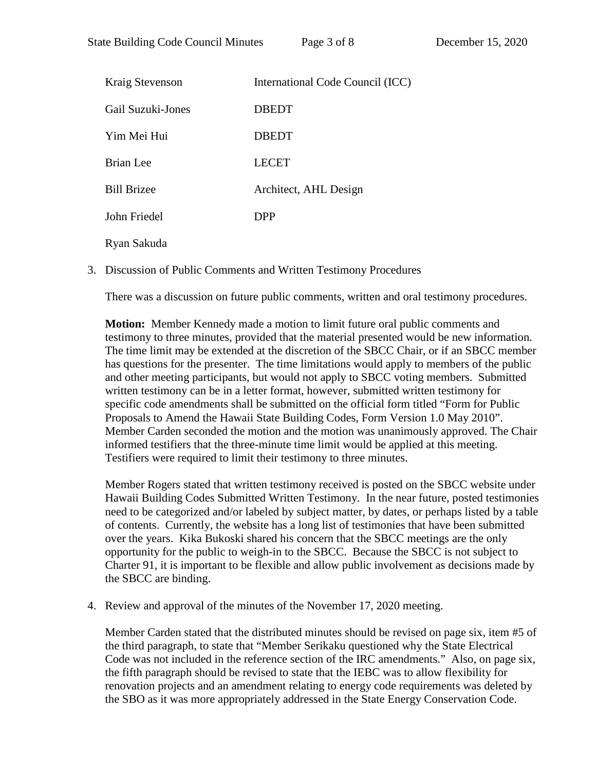| Kraig Stevenson    | International Code Council (ICC) |
|--------------------|----------------------------------|
| Gail Suzuki-Jones  | <b>DBEDT</b>                     |
| Yim Mei Hui        | <b>DBEDT</b>                     |
| Brian Lee          | <b>LECET</b>                     |
| <b>Bill Brizee</b> | Architect, AHL Design            |
| John Friedel       | <b>DPP</b>                       |
| Ryan Sakuda        |                                  |

3. Discussion of Public Comments and Written Testimony Procedures

There was a discussion on future public comments, written and oral testimony procedures.

**Motion:** Member Kennedy made a motion to limit future oral public comments and testimony to three minutes, provided that the material presented would be new information. The time limit may be extended at the discretion of the SBCC Chair, or if an SBCC member has questions for the presenter. The time limitations would apply to members of the public and other meeting participants, but would not apply to SBCC voting members. Submitted written testimony can be in a letter format, however, submitted written testimony for specific code amendments shall be submitted on the official form titled "Form for Public Proposals to Amend the Hawaii State Building Codes, Form Version 1.0 May 2010". Member Carden seconded the motion and the motion was unanimously approved. The Chair informed testifiers that the three-minute time limit would be applied at this meeting. Testifiers were required to limit their testimony to three minutes.

Member Rogers stated that written testimony received is posted on the SBCC website under Hawaii Building Codes Submitted Written Testimony. In the near future, posted testimonies need to be categorized and/or labeled by subject matter, by dates, or perhaps listed by a table of contents. Currently, the website has a long list of testimonies that have been submitted over the years. Kika Bukoski shared his concern that the SBCC meetings are the only opportunity for the public to weigh-in to the SBCC. Because the SBCC is not subject to Charter 91, it is important to be flexible and allow public involvement as decisions made by the SBCC are binding.

4. Review and approval of the minutes of the November 17, 2020 meeting.

Member Carden stated that the distributed minutes should be revised on page six, item #5 of the third paragraph, to state that "Member Serikaku questioned why the State Electrical Code was not included in the reference section of the IRC amendments." Also, on page six, the fifth paragraph should be revised to state that the IEBC was to allow flexibility for renovation projects and an amendment relating to energy code requirements was deleted by the SBO as it was more appropriately addressed in the State Energy Conservation Code.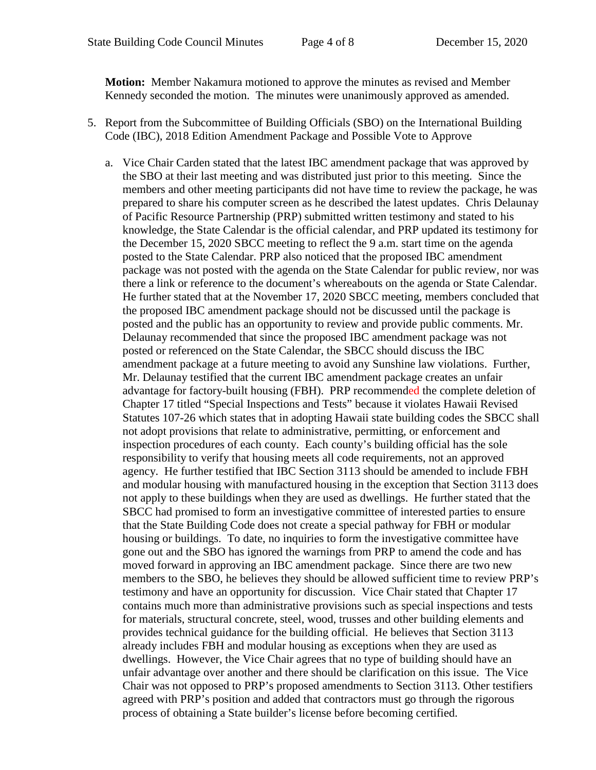**Motion:** Member Nakamura motioned to approve the minutes as revised and Member Kennedy seconded the motion. The minutes were unanimously approved as amended.

- 5. Report from the Subcommittee of Building Officials (SBO) on the International Building Code (IBC), 2018 Edition Amendment Package and Possible Vote to Approve
	- a. Vice Chair Carden stated that the latest IBC amendment package that was approved by the SBO at their last meeting and was distributed just prior to this meeting. Since the members and other meeting participants did not have time to review the package, he was prepared to share his computer screen as he described the latest updates. Chris Delaunay of Pacific Resource Partnership (PRP) submitted written testimony and stated to his knowledge, the State Calendar is the official calendar, and PRP updated its testimony for the December 15, 2020 SBCC meeting to reflect the 9 a.m. start time on the agenda posted to the State Calendar. PRP also noticed that the proposed IBC amendment package was not posted with the agenda on the State Calendar for public review, nor was there a link or reference to the document's whereabouts on the agenda or State Calendar. He further stated that at the November 17, 2020 SBCC meeting, members concluded that the proposed IBC amendment package should not be discussed until the package is posted and the public has an opportunity to review and provide public comments. Mr. Delaunay recommended that since the proposed IBC amendment package was not posted or referenced on the State Calendar, the SBCC should discuss the IBC amendment package at a future meeting to avoid any Sunshine law violations. Further, Mr. Delaunay testified that the current IBC amendment package creates an unfair advantage for factory-built housing (FBH). PRP recommended the complete deletion of Chapter 17 titled "Special Inspections and Tests" because it violates Hawaii Revised Statutes 107-26 which states that in adopting Hawaii state building codes the SBCC shall not adopt provisions that relate to administrative, permitting, or enforcement and inspection procedures of each county. Each county's building official has the sole responsibility to verify that housing meets all code requirements, not an approved agency. He further testified that IBC Section 3113 should be amended to include FBH and modular housing with manufactured housing in the exception that Section 3113 does not apply to these buildings when they are used as dwellings. He further stated that the SBCC had promised to form an investigative committee of interested parties to ensure that the State Building Code does not create a special pathway for FBH or modular housing or buildings. To date, no inquiries to form the investigative committee have gone out and the SBO has ignored the warnings from PRP to amend the code and has moved forward in approving an IBC amendment package. Since there are two new members to the SBO, he believes they should be allowed sufficient time to review PRP's testimony and have an opportunity for discussion. Vice Chair stated that Chapter 17 contains much more than administrative provisions such as special inspections and tests for materials, structural concrete, steel, wood, trusses and other building elements and provides technical guidance for the building official. He believes that Section 3113 already includes FBH and modular housing as exceptions when they are used as dwellings. However, the Vice Chair agrees that no type of building should have an unfair advantage over another and there should be clarification on this issue. The Vice Chair was not opposed to PRP's proposed amendments to Section 3113. Other testifiers agreed with PRP's position and added that contractors must go through the rigorous process of obtaining a State builder's license before becoming certified.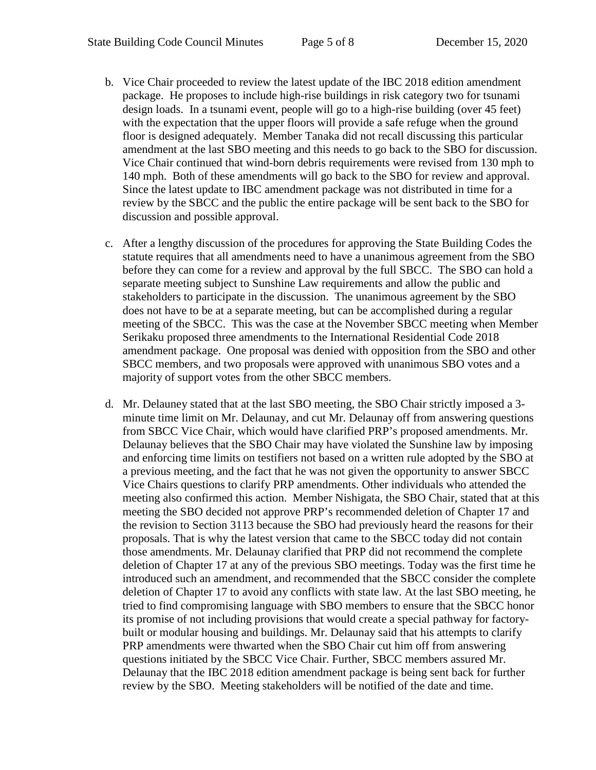- b. Vice Chair proceeded to review the latest update of the IBC 2018 edition amendment package. He proposes to include high-rise buildings in risk category two for tsunami design loads. In a tsunami event, people will go to a high-rise building (over 45 feet) with the expectation that the upper floors will provide a safe refuge when the ground floor is designed adequately. Member Tanaka did not recall discussing this particular amendment at the last SBO meeting and this needs to go back to the SBO for discussion. Vice Chair continued that wind-born debris requirements were revised from 130 mph to 140 mph. Both of these amendments will go back to the SBO for review and approval. Since the latest update to IBC amendment package was not distributed in time for a review by the SBCC and the public the entire package will be sent back to the SBO for discussion and possible approval.
- c. After a lengthy discussion of the procedures for approving the State Building Codes the statute requires that all amendments need to have a unanimous agreement from the SBO before they can come for a review and approval by the full SBCC. The SBO can hold a separate meeting subject to Sunshine Law requirements and allow the public and stakeholders to participate in the discussion. The unanimous agreement by the SBO does not have to be at a separate meeting, but can be accomplished during a regular meeting of the SBCC. This was the case at the November SBCC meeting when Member Serikaku proposed three amendments to the International Residential Code 2018 amendment package. One proposal was denied with opposition from the SBO and other SBCC members, and two proposals were approved with unanimous SBO votes and a majority of support votes from the other SBCC members.
- d. Mr. Delauney stated that at the last SBO meeting, the SBO Chair strictly imposed a 3 minute time limit on Mr. Delaunay, and cut Mr. Delaunay off from answering questions from SBCC Vice Chair, which would have clarified PRP's proposed amendments. Mr. Delaunay believes that the SBO Chair may have violated the Sunshine law by imposing and enforcing time limits on testifiers not based on a written rule adopted by the SBO at a previous meeting, and the fact that he was not given the opportunity to answer SBCC Vice Chairs questions to clarify PRP amendments. Other individuals who attended the meeting also confirmed this action. Member Nishigata, the SBO Chair, stated that at this meeting the SBO decided not approve PRP's recommended deletion of Chapter 17 and the revision to Section 3113 because the SBO had previously heard the reasons for their proposals. That is why the latest version that came to the SBCC today did not contain those amendments. Mr. Delaunay clarified that PRP did not recommend the complete deletion of Chapter 17 at any of the previous SBO meetings. Today was the first time he introduced such an amendment, and recommended that the SBCC consider the complete deletion of Chapter 17 to avoid any conflicts with state law. At the last SBO meeting, he tried to find compromising language with SBO members to ensure that the SBCC honor its promise of not including provisions that would create a special pathway for factorybuilt or modular housing and buildings. Mr. Delaunay said that his attempts to clarify PRP amendments were thwarted when the SBO Chair cut him off from answering questions initiated by the SBCC Vice Chair. Further, SBCC members assured Mr. Delaunay that the IBC 2018 edition amendment package is being sent back for further review by the SBO. Meeting stakeholders will be notified of the date and time.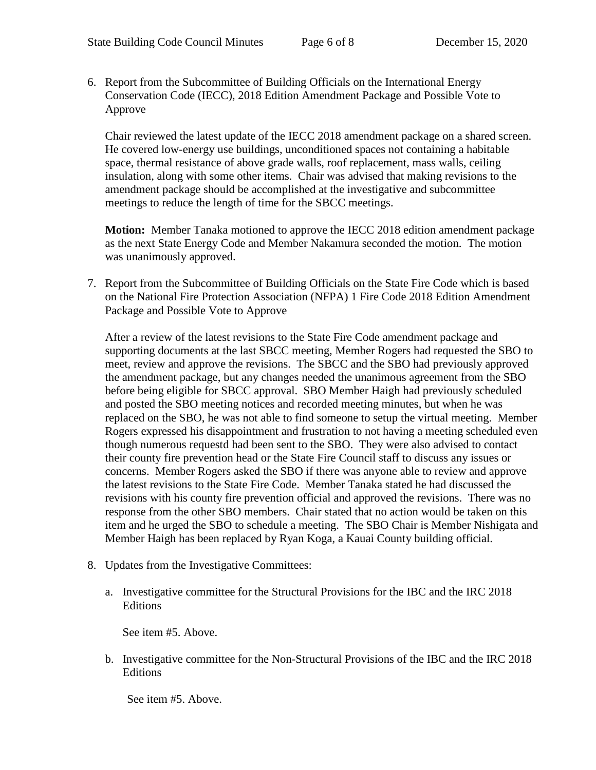6. Report from the Subcommittee of Building Officials on the International Energy Conservation Code (IECC), 2018 Edition Amendment Package and Possible Vote to Approve

Chair reviewed the latest update of the IECC 2018 amendment package on a shared screen. He covered low-energy use buildings, unconditioned spaces not containing a habitable space, thermal resistance of above grade walls, roof replacement, mass walls, ceiling insulation, along with some other items. Chair was advised that making revisions to the amendment package should be accomplished at the investigative and subcommittee meetings to reduce the length of time for the SBCC meetings.

**Motion:** Member Tanaka motioned to approve the IECC 2018 edition amendment package as the next State Energy Code and Member Nakamura seconded the motion. The motion was unanimously approved.

7. Report from the Subcommittee of Building Officials on the State Fire Code which is based on the National Fire Protection Association (NFPA) 1 Fire Code 2018 Edition Amendment Package and Possible Vote to Approve

After a review of the latest revisions to the State Fire Code amendment package and supporting documents at the last SBCC meeting, Member Rogers had requested the SBO to meet, review and approve the revisions. The SBCC and the SBO had previously approved the amendment package, but any changes needed the unanimous agreement from the SBO before being eligible for SBCC approval. SBO Member Haigh had previously scheduled and posted the SBO meeting notices and recorded meeting minutes, but when he was replaced on the SBO, he was not able to find someone to setup the virtual meeting. Member Rogers expressed his disappointment and frustration to not having a meeting scheduled even though numerous requestd had been sent to the SBO. They were also advised to contact their county fire prevention head or the State Fire Council staff to discuss any issues or concerns. Member Rogers asked the SBO if there was anyone able to review and approve the latest revisions to the State Fire Code. Member Tanaka stated he had discussed the revisions with his county fire prevention official and approved the revisions. There was no response from the other SBO members. Chair stated that no action would be taken on this item and he urged the SBO to schedule a meeting. The SBO Chair is Member Nishigata and Member Haigh has been replaced by Ryan Koga, a Kauai County building official.

- 8. Updates from the Investigative Committees:
	- a. Investigative committee for the Structural Provisions for the IBC and the IRC 2018 Editions

See item #5. Above.

b. Investigative committee for the Non-Structural Provisions of the IBC and the IRC 2018 Editions

See item #5. Above.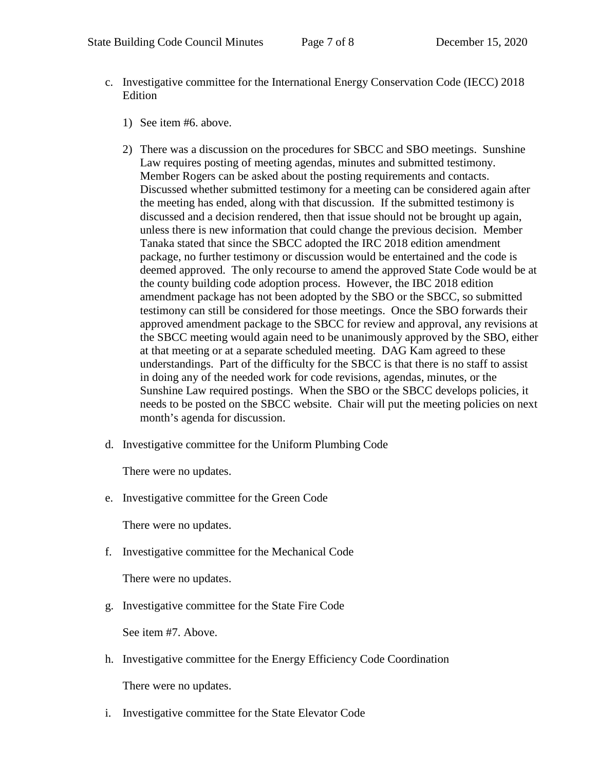- c. Investigative committee for the International Energy Conservation Code (IECC) 2018 **Edition** 
	- 1) See item #6. above.
	- 2) There was a discussion on the procedures for SBCC and SBO meetings. Sunshine Law requires posting of meeting agendas, minutes and submitted testimony. Member Rogers can be asked about the posting requirements and contacts. Discussed whether submitted testimony for a meeting can be considered again after the meeting has ended, along with that discussion. If the submitted testimony is discussed and a decision rendered, then that issue should not be brought up again, unless there is new information that could change the previous decision. Member Tanaka stated that since the SBCC adopted the IRC 2018 edition amendment package, no further testimony or discussion would be entertained and the code is deemed approved. The only recourse to amend the approved State Code would be at the county building code adoption process. However, the IBC 2018 edition amendment package has not been adopted by the SBO or the SBCC, so submitted testimony can still be considered for those meetings. Once the SBO forwards their approved amendment package to the SBCC for review and approval, any revisions at the SBCC meeting would again need to be unanimously approved by the SBO, either at that meeting or at a separate scheduled meeting. DAG Kam agreed to these understandings. Part of the difficulty for the SBCC is that there is no staff to assist in doing any of the needed work for code revisions, agendas, minutes, or the Sunshine Law required postings. When the SBO or the SBCC develops policies, it needs to be posted on the SBCC website. Chair will put the meeting policies on next month's agenda for discussion.
- d. Investigative committee for the Uniform Plumbing Code

There were no updates.

e. Investigative committee for the Green Code

There were no updates.

f. Investigative committee for the Mechanical Code

There were no updates.

g. Investigative committee for the State Fire Code

See item #7. Above.

- h. Investigative committee for the Energy Efficiency Code Coordination There were no updates.
- i. Investigative committee for the State Elevator Code